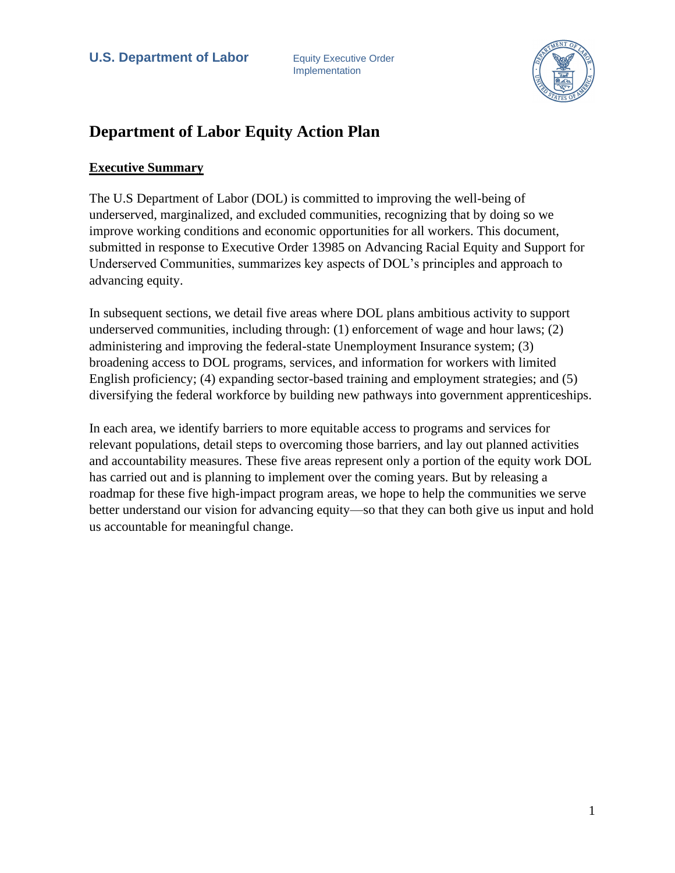

# **Department of Labor Equity Action Plan**

## **Executive Summary**

The U.S Department of Labor (DOL) is committed to improving the well-being of underserved, marginalized, and excluded communities, recognizing that by doing so we improve working conditions and economic opportunities for all workers. This document, submitted in response to Executive Order 13985 on Advancing Racial Equity and Support for Underserved Communities, summarizes key aspects of DOL's principles and approach to advancing equity.

In subsequent sections, we detail five areas where DOL plans ambitious activity to support underserved communities, including through: (1) enforcement of wage and hour laws; (2) administering and improving the federal-state Unemployment Insurance system; (3) broadening access to DOL programs, services, and information for workers with limited English proficiency; (4) expanding sector-based training and employment strategies; and (5) diversifying the federal workforce by building new pathways into government apprenticeships.

In each area, we identify barriers to more equitable access to programs and services for relevant populations, detail steps to overcoming those barriers, and lay out planned activities and accountability measures. These five areas represent only a portion of the equity work DOL has carried out and is planning to implement over the coming years. But by releasing a roadmap for these five high-impact program areas, we hope to help the communities we serve better understand our vision for advancing equity—so that they can both give us input and hold us accountable for meaningful change.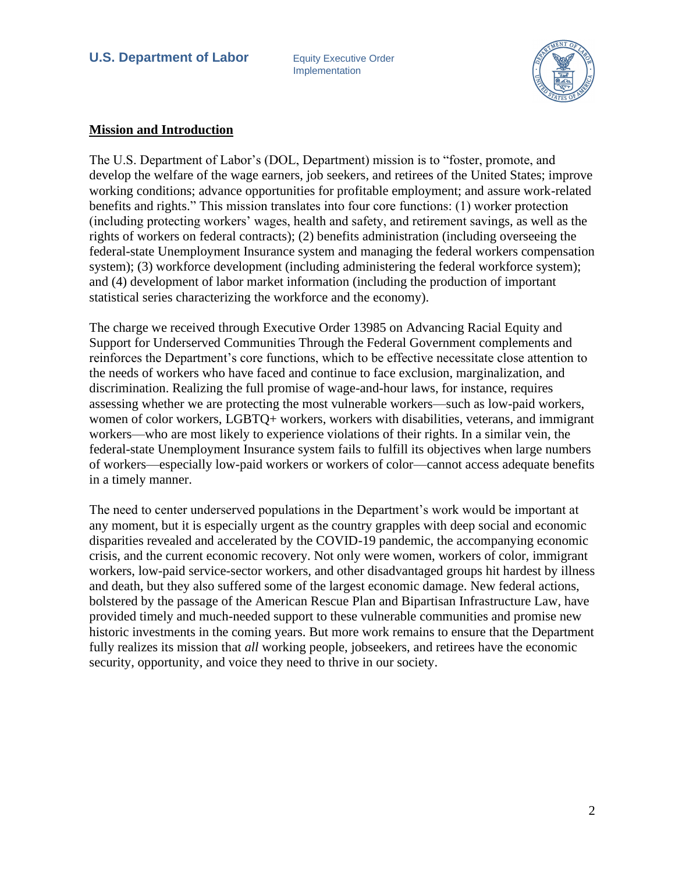Implementation



#### **Mission and Introduction**

The U.S. Department of Labor's (DOL, Department) mission is to "foster, promote, and develop the welfare of the wage earners, job seekers, and retirees of the United States; improve working conditions; advance opportunities for profitable employment; and assure work-related benefits and rights." This mission translates into four core functions: (1) worker protection (including protecting workers' wages, health and safety, and retirement savings, as well as the rights of workers on federal contracts); (2) benefits administration (including overseeing the federal-state Unemployment Insurance system and managing the federal workers compensation system); (3) workforce development (including administering the federal workforce system); and (4) development of labor market information (including the production of important statistical series characterizing the workforce and the economy).

The charge we received through Executive Order 13985 on Advancing Racial Equity and Support for Underserved Communities Through the Federal Government complements and reinforces the Department's core functions, which to be effective necessitate close attention to the needs of workers who have faced and continue to face exclusion, marginalization, and discrimination. Realizing the full promise of wage-and-hour laws, for instance, requires assessing whether we are protecting the most vulnerable workers—such as low-paid workers, women of color workers, LGBTQ+ workers, workers with disabilities, veterans, and immigrant workers—who are most likely to experience violations of their rights. In a similar vein, the federal-state Unemployment Insurance system fails to fulfill its objectives when large numbers of workers—especially low-paid workers or workers of color—cannot access adequate benefits in a timely manner.

The need to center underserved populations in the Department's work would be important at any moment, but it is especially urgent as the country grapples with deep social and economic disparities revealed and accelerated by the COVID-19 pandemic, the accompanying economic crisis, and the current economic recovery. Not only were women, workers of color, immigrant workers, low-paid service-sector workers, and other disadvantaged groups hit hardest by illness and death, but they also suffered some of the largest economic damage. New federal actions, bolstered by the passage of the American Rescue Plan and Bipartisan Infrastructure Law, have provided timely and much-needed support to these vulnerable communities and promise new historic investments in the coming years. But more work remains to ensure that the Department fully realizes its mission that *all* working people, jobseekers, and retirees have the economic security, opportunity, and voice they need to thrive in our society.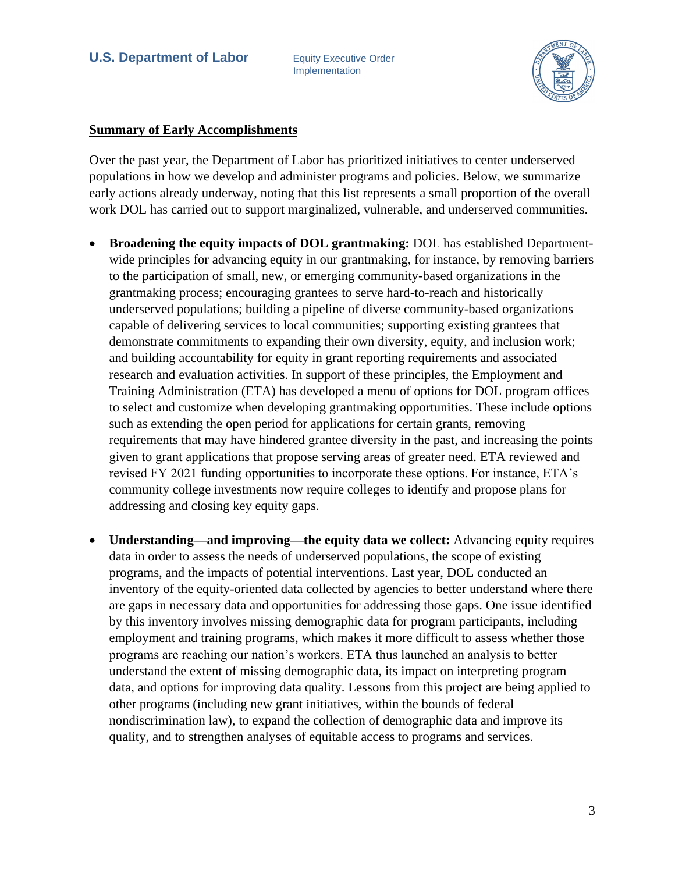Implementation



#### **Summary of Early Accomplishments**

Over the past year, the Department of Labor has prioritized initiatives to center underserved populations in how we develop and administer programs and policies. Below, we summarize early actions already underway, noting that this list represents a small proportion of the overall work DOL has carried out to support marginalized, vulnerable, and underserved communities.

- **Broadening the equity impacts of DOL grantmaking:** DOL has established Departmentwide principles for advancing equity in our grantmaking, for instance, by removing barriers to the participation of small, new, or emerging community-based organizations in the grantmaking process; encouraging grantees to serve hard-to-reach and historically underserved populations; building a pipeline of diverse community-based organizations capable of delivering services to local communities; supporting existing grantees that demonstrate commitments to expanding their own diversity, equity, and inclusion work; and building accountability for equity in grant reporting requirements and associated research and evaluation activities. In support of these principles, the Employment and Training Administration (ETA) has developed a menu of options for DOL program offices to select and customize when developing grantmaking opportunities. These include options such as extending the open period for applications for certain grants, removing requirements that may have hindered grantee diversity in the past, and increasing the points given to grant applications that propose serving areas of greater need. ETA reviewed and revised FY 2021 funding opportunities to incorporate these options. For instance, ETA's community college investments now require colleges to identify and propose plans for addressing and closing key equity gaps.
- **Understanding—and improving—the equity data we collect:** Advancing equity requires data in order to assess the needs of underserved populations, the scope of existing programs, and the impacts of potential interventions. Last year, DOL conducted an inventory of the equity-oriented data collected by agencies to better understand where there are gaps in necessary data and opportunities for addressing those gaps. One issue identified by this inventory involves missing demographic data for program participants, including employment and training programs, which makes it more difficult to assess whether those programs are reaching our nation's workers. ETA thus launched an analysis to better understand the extent of missing demographic data, its impact on interpreting program data, and options for improving data quality. Lessons from this project are being applied to other programs (including new grant initiatives, within the bounds of federal nondiscrimination law), to expand the collection of demographic data and improve its quality, and to strengthen analyses of equitable access to programs and services.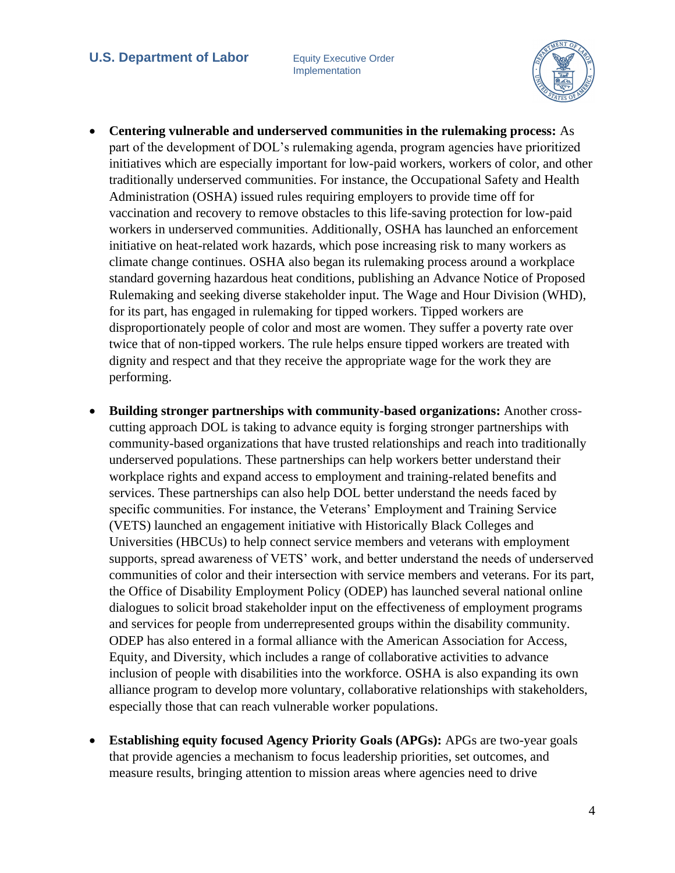

- **Centering vulnerable and underserved communities in the rulemaking process:** As part of the development of DOL's rulemaking agenda, program agencies have prioritized initiatives which are especially important for low-paid workers, workers of color, and other traditionally underserved communities. For instance, the Occupational Safety and Health Administration (OSHA) issued rules requiring employers to provide time off for vaccination and recovery to remove obstacles to this life-saving protection for low-paid workers in underserved communities. Additionally, OSHA has launched an enforcement initiative on heat-related work hazards, which pose increasing risk to many workers as climate change continues. OSHA also began its rulemaking process around a workplace standard governing hazardous heat conditions, publishing an Advance Notice of Proposed Rulemaking and seeking diverse stakeholder input. The Wage and Hour Division (WHD), for its part, has engaged in rulemaking for tipped workers. Tipped workers are disproportionately people of color and most are women. They suffer a poverty rate over twice that of non-tipped workers. The rule helps ensure tipped workers are treated with dignity and respect and that they receive the appropriate wage for the work they are performing.
- **Building stronger partnerships with community-based organizations:** Another crosscutting approach DOL is taking to advance equity is forging stronger partnerships with community-based organizations that have trusted relationships and reach into traditionally underserved populations. These partnerships can help workers better understand their workplace rights and expand access to employment and training-related benefits and services. These partnerships can also help DOL better understand the needs faced by specific communities. For instance, the Veterans' Employment and Training Service (VETS) launched an engagement initiative with Historically Black Colleges and Universities (HBCUs) to help connect service members and veterans with employment supports, spread awareness of VETS' work, and better understand the needs of underserved communities of color and their intersection with service members and veterans. For its part, the Office of Disability Employment Policy (ODEP) has launched several national online dialogues to solicit broad stakeholder input on the effectiveness of employment programs and services for people from underrepresented groups within the disability community. ODEP has also entered in a formal alliance with the American Association for Access, Equity, and Diversity, which includes a range of collaborative activities to advance inclusion of people with disabilities into the workforce. OSHA is also expanding its own alliance program to develop more voluntary, collaborative relationships with stakeholders, especially those that can reach vulnerable worker populations.
- **Establishing equity focused Agency Priority Goals (APGs):** APGs are two-year goals that provide agencies a mechanism to focus leadership priorities, set outcomes, and measure results, bringing attention to mission areas where agencies need to drive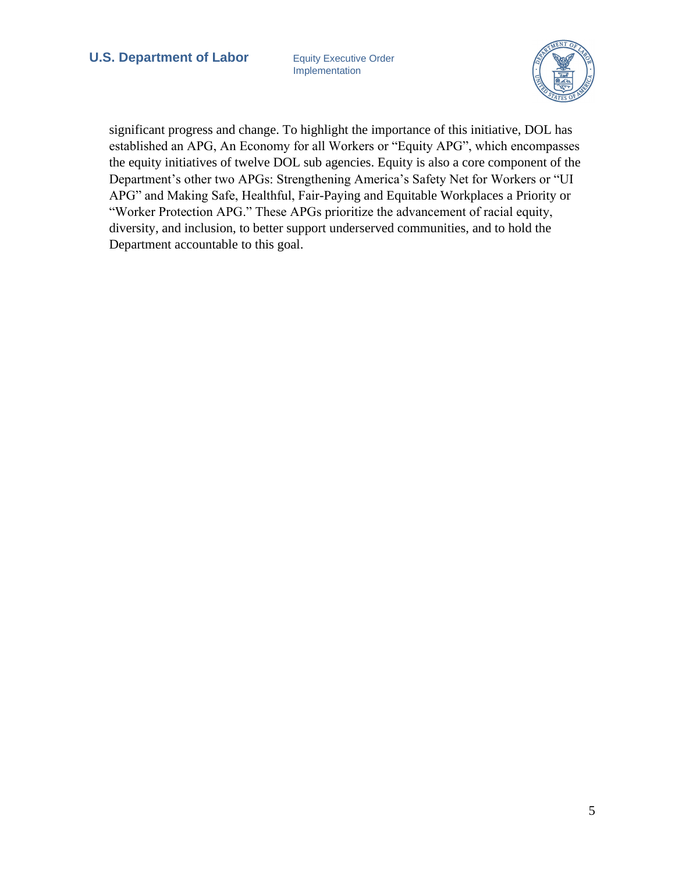Implementation



significant progress and change. To highlight the importance of this initiative, DOL has established an APG, An Economy for all Workers or "Equity APG", which encompasses the equity initiatives of twelve DOL sub agencies. Equity is also a core component of the Department's other two APGs: Strengthening America's Safety Net for Workers or "UI APG" and Making Safe, Healthful, Fair-Paying and Equitable Workplaces a Priority or "Worker Protection APG." These APGs prioritize the advancement of racial equity, diversity, and inclusion, to better support underserved communities, and to hold the Department accountable to this goal.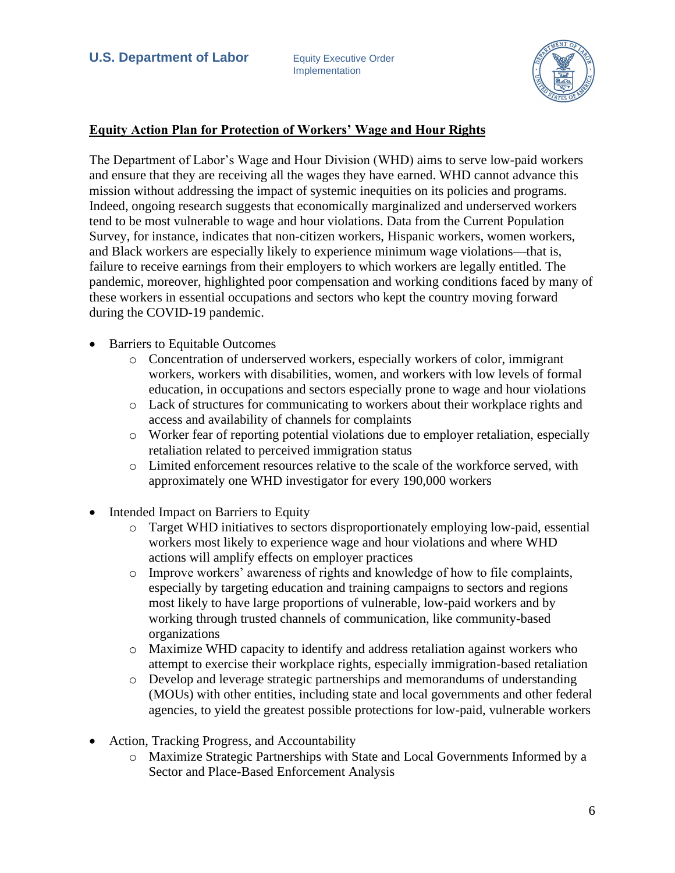

## **Equity Action Plan for Protection of Workers' Wage and Hour Rights**

The Department of Labor's Wage and Hour Division (WHD) aims to serve low-paid workers and ensure that they are receiving all the wages they have earned. WHD cannot advance this mission without addressing the impact of systemic inequities on its policies and programs. Indeed, ongoing research suggests that economically marginalized and underserved workers tend to be most vulnerable to wage and hour violations. Data from the Current Population Survey, for instance, indicates that non-citizen workers, Hispanic workers, women workers, and Black workers are especially likely to experience minimum wage violations—that is, failure to receive earnings from their employers to which workers are legally entitled. The pandemic, moreover, highlighted poor compensation and working conditions faced by many of these workers in essential occupations and sectors who kept the country moving forward during the COVID-19 pandemic.

- Barriers to Equitable Outcomes
	- o Concentration of underserved workers, especially workers of color, immigrant workers, workers with disabilities, women, and workers with low levels of formal education, in occupations and sectors especially prone to wage and hour violations
	- o Lack of structures for communicating to workers about their workplace rights and access and availability of channels for complaints
	- o Worker fear of reporting potential violations due to employer retaliation, especially retaliation related to perceived immigration status
	- o Limited enforcement resources relative to the scale of the workforce served, with approximately one WHD investigator for every 190,000 workers
- Intended Impact on Barriers to Equity
	- o Target WHD initiatives to sectors disproportionately employing low-paid, essential workers most likely to experience wage and hour violations and where WHD actions will amplify effects on employer practices
	- o Improve workers' awareness of rights and knowledge of how to file complaints, especially by targeting education and training campaigns to sectors and regions most likely to have large proportions of vulnerable, low-paid workers and by working through trusted channels of communication, like community-based organizations
	- o Maximize WHD capacity to identify and address retaliation against workers who attempt to exercise their workplace rights, especially immigration-based retaliation
	- o Develop and leverage strategic partnerships and memorandums of understanding (MOUs) with other entities, including state and local governments and other federal agencies, to yield the greatest possible protections for low-paid, vulnerable workers
- Action, Tracking Progress, and Accountability
	- o Maximize Strategic Partnerships with State and Local Governments Informed by a Sector and Place-Based Enforcement Analysis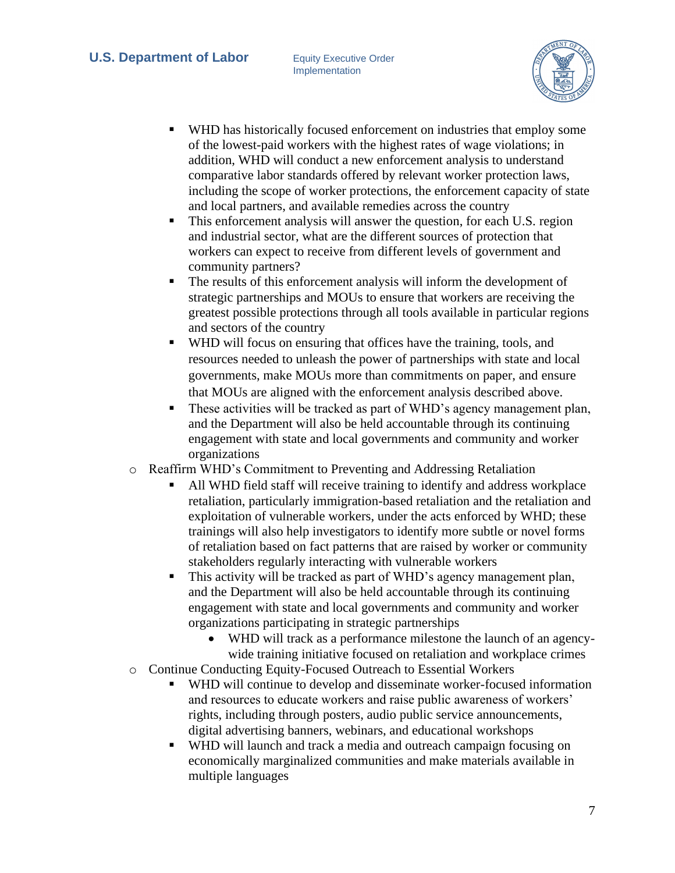

- WHD has historically focused enforcement on industries that employ some of the lowest-paid workers with the highest rates of wage violations; in addition, WHD will conduct a new enforcement analysis to understand comparative labor standards offered by relevant worker protection laws, including the scope of worker protections, the enforcement capacity of state and local partners, and available remedies across the country
- This enforcement analysis will answer the question, for each U.S. region and industrial sector, what are the different sources of protection that workers can expect to receive from different levels of government and community partners?
- The results of this enforcement analysis will inform the development of strategic partnerships and MOUs to ensure that workers are receiving the greatest possible protections through all tools available in particular regions and sectors of the country
- WHD will focus on ensuring that offices have the training, tools, and resources needed to unleash the power of partnerships with state and local governments, make MOUs more than commitments on paper, and ensure that MOUs are aligned with the enforcement analysis described above.
- These activities will be tracked as part of WHD's agency management plan, and the Department will also be held accountable through its continuing engagement with state and local governments and community and worker organizations
- o Reaffirm WHD's Commitment to Preventing and Addressing Retaliation
	- All WHD field staff will receive training to identify and address workplace retaliation, particularly immigration-based retaliation and the retaliation and exploitation of vulnerable workers, under the acts enforced by WHD; these trainings will also help investigators to identify more subtle or novel forms of retaliation based on fact patterns that are raised by worker or community stakeholders regularly interacting with vulnerable workers
	- This activity will be tracked as part of WHD's agency management plan, and the Department will also be held accountable through its continuing engagement with state and local governments and community and worker organizations participating in strategic partnerships
		- WHD will track as a performance milestone the launch of an agencywide training initiative focused on retaliation and workplace crimes
- o Continue Conducting Equity-Focused Outreach to Essential Workers
	- WHD will continue to develop and disseminate worker-focused information and resources to educate workers and raise public awareness of workers' rights, including through posters, audio public service announcements, digital advertising banners, webinars, and educational workshops
	- WHD will launch and track a media and outreach campaign focusing on economically marginalized communities and make materials available in multiple languages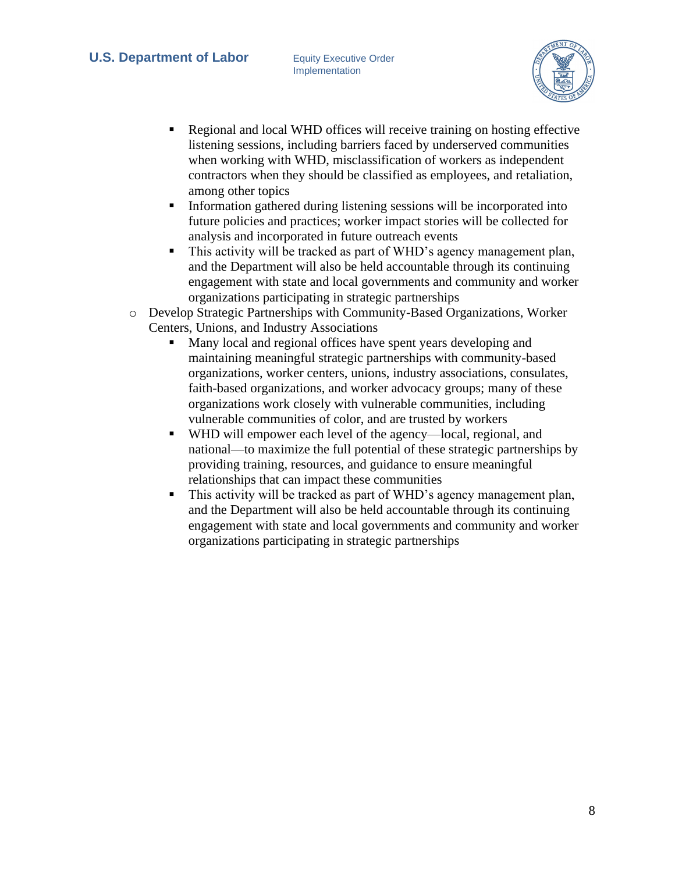

- Regional and local WHD offices will receive training on hosting effective listening sessions, including barriers faced by underserved communities when working with WHD, misclassification of workers as independent contractors when they should be classified as employees, and retaliation, among other topics
- **•** Information gathered during listening sessions will be incorporated into future policies and practices; worker impact stories will be collected for analysis and incorporated in future outreach events
- This activity will be tracked as part of WHD's agency management plan, and the Department will also be held accountable through its continuing engagement with state and local governments and community and worker organizations participating in strategic partnerships
- o Develop Strategic Partnerships with Community-Based Organizations, Worker Centers, Unions, and Industry Associations
	- Many local and regional offices have spent years developing and maintaining meaningful strategic partnerships with community-based organizations, worker centers, unions, industry associations, consulates, faith-based organizations, and worker advocacy groups; many of these organizations work closely with vulnerable communities, including vulnerable communities of color, and are trusted by workers
	- WHD will empower each level of the agency—local, regional, and national—to maximize the full potential of these strategic partnerships by providing training, resources, and guidance to ensure meaningful relationships that can impact these communities
	- This activity will be tracked as part of WHD's agency management plan, and the Department will also be held accountable through its continuing engagement with state and local governments and community and worker organizations participating in strategic partnerships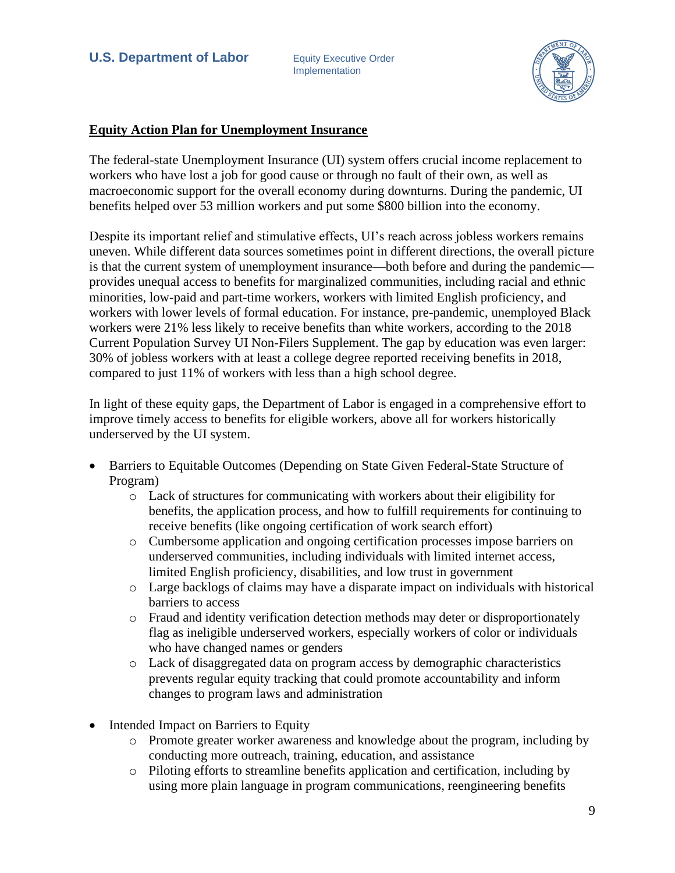

## **Equity Action Plan for Unemployment Insurance**

The federal-state Unemployment Insurance (UI) system offers crucial income replacement to workers who have lost a job for good cause or through no fault of their own, as well as macroeconomic support for the overall economy during downturns. During the pandemic, UI benefits helped over 53 million workers and put some \$800 billion into the economy.

Despite its important relief and stimulative effects, UI's reach across jobless workers remains uneven. While different data sources sometimes point in different directions, the overall picture is that the current system of unemployment insurance—both before and during the pandemic provides unequal access to benefits for marginalized communities, including racial and ethnic minorities, low-paid and part-time workers, workers with limited English proficiency, and workers with lower levels of formal education. For instance, pre-pandemic, unemployed Black workers were 21% less likely to receive benefits than white workers, according to the 2018 Current Population Survey UI Non-Filers Supplement. The gap by education was even larger: 30% of jobless workers with at least a college degree reported receiving benefits in 2018, compared to just 11% of workers with less than a high school degree.

In light of these equity gaps, the Department of Labor is engaged in a comprehensive effort to improve timely access to benefits for eligible workers, above all for workers historically underserved by the UI system.

- Barriers to Equitable Outcomes (Depending on State Given Federal-State Structure of Program)
	- o Lack of structures for communicating with workers about their eligibility for benefits, the application process, and how to fulfill requirements for continuing to receive benefits (like ongoing certification of work search effort)
	- o Cumbersome application and ongoing certification processes impose barriers on underserved communities, including individuals with limited internet access, limited English proficiency, disabilities, and low trust in government
	- o Large backlogs of claims may have a disparate impact on individuals with historical barriers to access
	- o Fraud and identity verification detection methods may deter or disproportionately flag as ineligible underserved workers, especially workers of color or individuals who have changed names or genders
	- o Lack of disaggregated data on program access by demographic characteristics prevents regular equity tracking that could promote accountability and inform changes to program laws and administration
- Intended Impact on Barriers to Equity
	- o Promote greater worker awareness and knowledge about the program, including by conducting more outreach, training, education, and assistance
	- o Piloting efforts to streamline benefits application and certification, including by using more plain language in program communications, reengineering benefits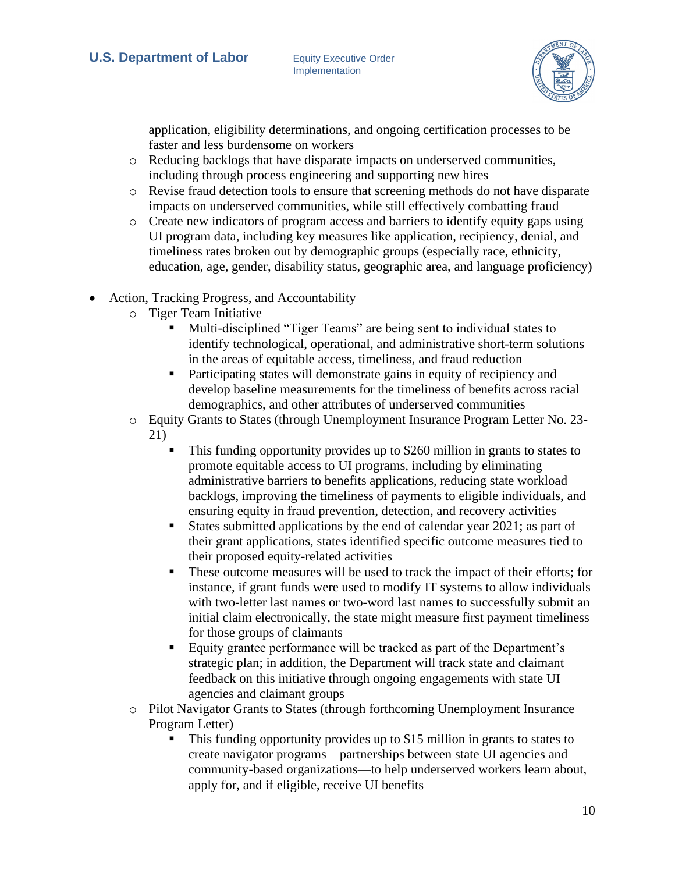

application, eligibility determinations, and ongoing certification processes to be faster and less burdensome on workers

- o Reducing backlogs that have disparate impacts on underserved communities, including through process engineering and supporting new hires
- o Revise fraud detection tools to ensure that screening methods do not have disparate impacts on underserved communities, while still effectively combatting fraud
- o Create new indicators of program access and barriers to identify equity gaps using UI program data, including key measures like application, recipiency, denial, and timeliness rates broken out by demographic groups (especially race, ethnicity, education, age, gender, disability status, geographic area, and language proficiency)
- Action, Tracking Progress, and Accountability
	- o Tiger Team Initiative
		- Multi-disciplined "Tiger Teams" are being sent to individual states to identify technological, operational, and administrative short-term solutions in the areas of equitable access, timeliness, and fraud reduction
		- Participating states will demonstrate gains in equity of recipiency and develop baseline measurements for the timeliness of benefits across racial demographics, and other attributes of underserved communities
	- o Equity Grants to States (through Unemployment Insurance Program Letter No. 23- 21)
		- This funding opportunity provides up to \$260 million in grants to states to promote equitable access to UI programs, including by eliminating administrative barriers to benefits applications, reducing state workload backlogs, improving the timeliness of payments to eligible individuals, and ensuring equity in fraud prevention, detection, and recovery activities
		- States submitted applications by the end of calendar year 2021; as part of their grant applications, states identified specific outcome measures tied to their proposed equity-related activities
		- These outcome measures will be used to track the impact of their efforts; for instance, if grant funds were used to modify IT systems to allow individuals with two-letter last names or two-word last names to successfully submit an initial claim electronically, the state might measure first payment timeliness for those groups of claimants
		- Equity grantee performance will be tracked as part of the Department's strategic plan; in addition, the Department will track state and claimant feedback on this initiative through ongoing engagements with state UI agencies and claimant groups
	- o Pilot Navigator Grants to States (through forthcoming Unemployment Insurance Program Letter)
		- This funding opportunity provides up to \$15 million in grants to states to create navigator programs—partnerships between state UI agencies and community-based organizations—to help underserved workers learn about, apply for, and if eligible, receive UI benefits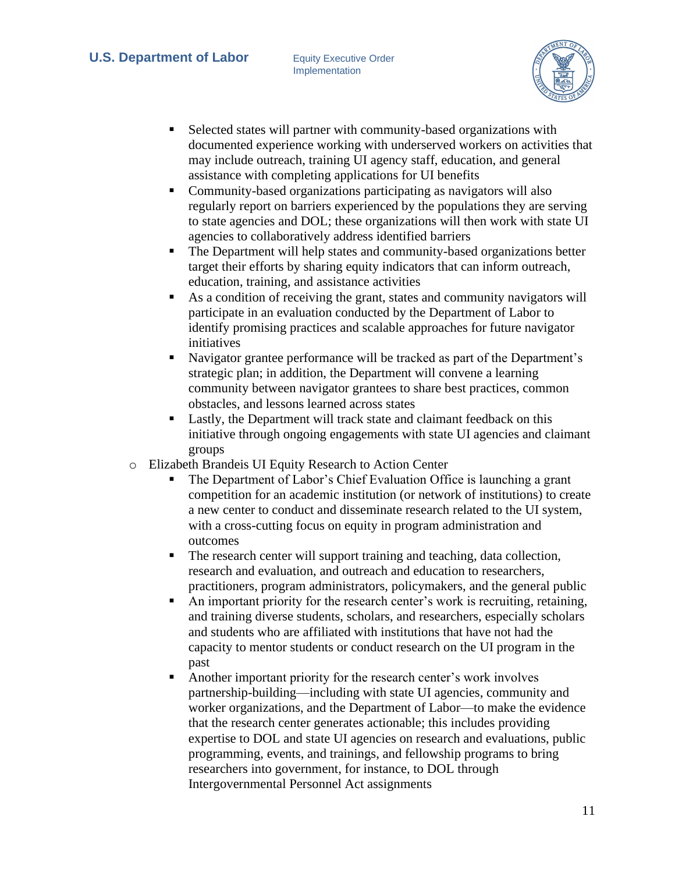

- Selected states will partner with community-based organizations with documented experience working with underserved workers on activities that may include outreach, training UI agency staff, education, and general assistance with completing applications for UI benefits
- Community-based organizations participating as navigators will also regularly report on barriers experienced by the populations they are serving to state agencies and DOL; these organizations will then work with state UI agencies to collaboratively address identified barriers
- The Department will help states and community-based organizations better target their efforts by sharing equity indicators that can inform outreach, education, training, and assistance activities
- As a condition of receiving the grant, states and community navigators will participate in an evaluation conducted by the Department of Labor to identify promising practices and scalable approaches for future navigator initiatives
- Navigator grantee performance will be tracked as part of the Department's strategic plan; in addition, the Department will convene a learning community between navigator grantees to share best practices, common obstacles, and lessons learned across states
- Lastly, the Department will track state and claimant feedback on this initiative through ongoing engagements with state UI agencies and claimant groups
- o Elizabeth Brandeis UI Equity Research to Action Center
	- The Department of Labor's Chief Evaluation Office is launching a grant competition for an academic institution (or network of institutions) to create a new center to conduct and disseminate research related to the UI system, with a cross-cutting focus on equity in program administration and outcomes
	- The research center will support training and teaching, data collection, research and evaluation, and outreach and education to researchers, practitioners, program administrators, policymakers, and the general public
	- An important priority for the research center's work is recruiting, retaining, and training diverse students, scholars, and researchers, especially scholars and students who are affiliated with institutions that have not had the capacity to mentor students or conduct research on the UI program in the past
	- Another important priority for the research center's work involves partnership-building—including with state UI agencies, community and worker organizations, and the Department of Labor—to make the evidence that the research center generates actionable; this includes providing expertise to DOL and state UI agencies on research and evaluations, public programming, events, and trainings, and fellowship programs to bring researchers into government, for instance, to DOL through Intergovernmental Personnel Act assignments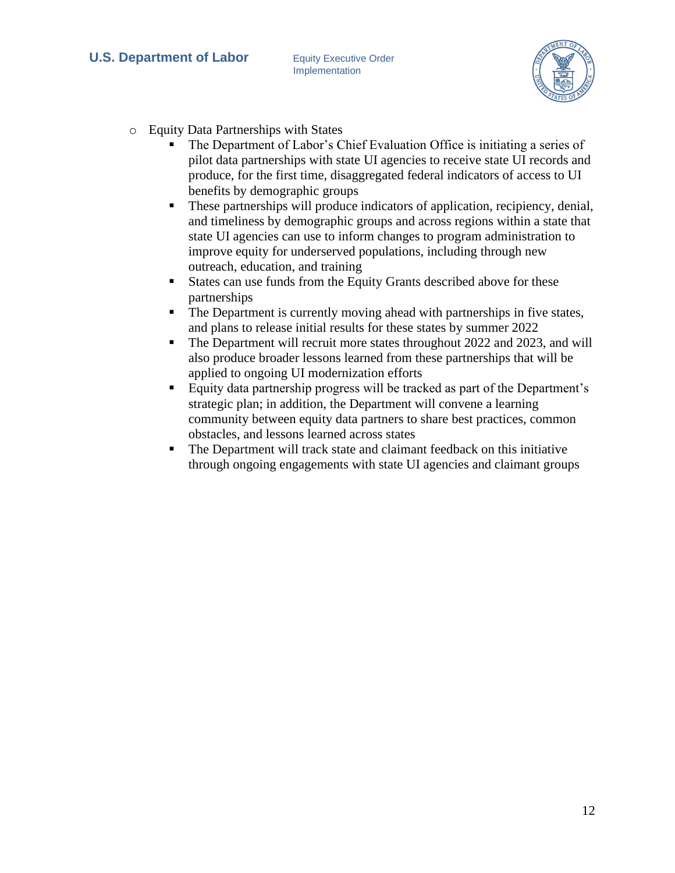

- o Equity Data Partnerships with States
	- The Department of Labor's Chief Evaluation Office is initiating a series of pilot data partnerships with state UI agencies to receive state UI records and produce, for the first time, disaggregated federal indicators of access to UI benefits by demographic groups
	- **•** These partnerships will produce indicators of application, recipiency, denial, and timeliness by demographic groups and across regions within a state that state UI agencies can use to inform changes to program administration to improve equity for underserved populations, including through new outreach, education, and training
	- States can use funds from the Equity Grants described above for these partnerships
	- The Department is currently moving ahead with partnerships in five states, and plans to release initial results for these states by summer 2022
	- The Department will recruit more states throughout 2022 and 2023, and will also produce broader lessons learned from these partnerships that will be applied to ongoing UI modernization efforts
	- Equity data partnership progress will be tracked as part of the Department's strategic plan; in addition, the Department will convene a learning community between equity data partners to share best practices, common obstacles, and lessons learned across states
	- The Department will track state and claimant feedback on this initiative through ongoing engagements with state UI agencies and claimant groups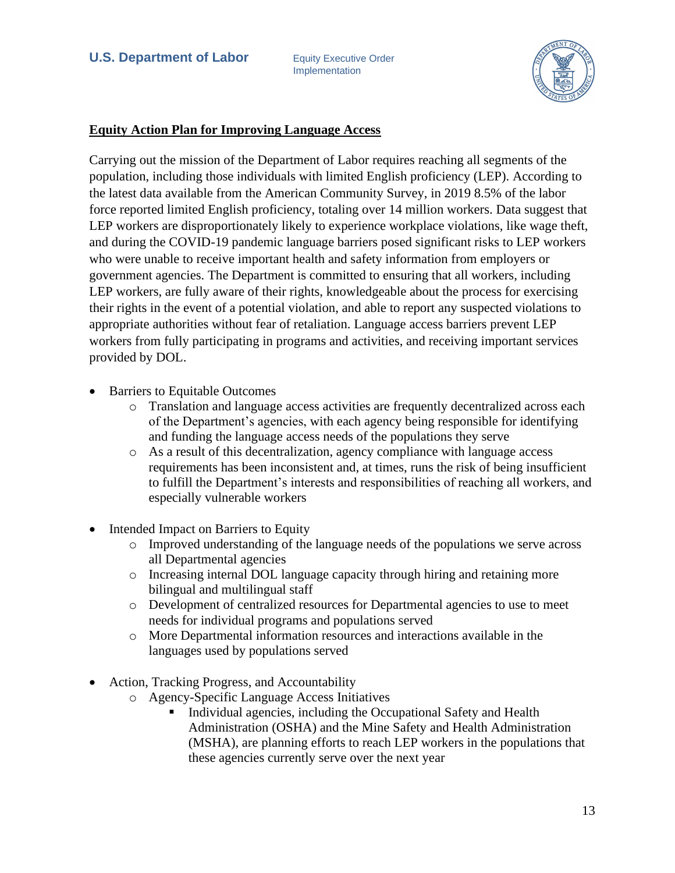

#### **Equity Action Plan for Improving Language Access**

Carrying out the mission of the Department of Labor requires reaching all segments of the population, including those individuals with limited English proficiency (LEP). According to the latest data available from the American Community Survey, in 2019 8.5% of the labor force reported limited English proficiency, totaling over 14 million workers. Data suggest that LEP workers are disproportionately likely to experience workplace violations, like wage theft, and during the COVID-19 pandemic language barriers posed significant risks to LEP workers who were unable to receive important health and safety information from employers or government agencies. The Department is committed to ensuring that all workers, including LEP workers, are fully aware of their rights, knowledgeable about the process for exercising their rights in the event of a potential violation, and able to report any suspected violations to appropriate authorities without fear of retaliation. Language access barriers prevent LEP workers from fully participating in programs and activities, and receiving important services provided by DOL.

- Barriers to Equitable Outcomes
	- o Translation and language access activities are frequently decentralized across each of the Department's agencies, with each agency being responsible for identifying and funding the language access needs of the populations they serve
	- o As a result of this decentralization, agency compliance with language access requirements has been inconsistent and, at times, runs the risk of being insufficient to fulfill the Department's interests and responsibilities of reaching all workers, and especially vulnerable workers
- Intended Impact on Barriers to Equity
	- o Improved understanding of the language needs of the populations we serve across all Departmental agencies
	- o Increasing internal DOL language capacity through hiring and retaining more bilingual and multilingual staff
	- o Development of centralized resources for Departmental agencies to use to meet needs for individual programs and populations served
	- o More Departmental information resources and interactions available in the languages used by populations served
- Action, Tracking Progress, and Accountability
	- o Agency-Specific Language Access Initiatives
		- Individual agencies, including the Occupational Safety and Health Administration (OSHA) and the Mine Safety and Health Administration (MSHA), are planning efforts to reach LEP workers in the populations that these agencies currently serve over the next year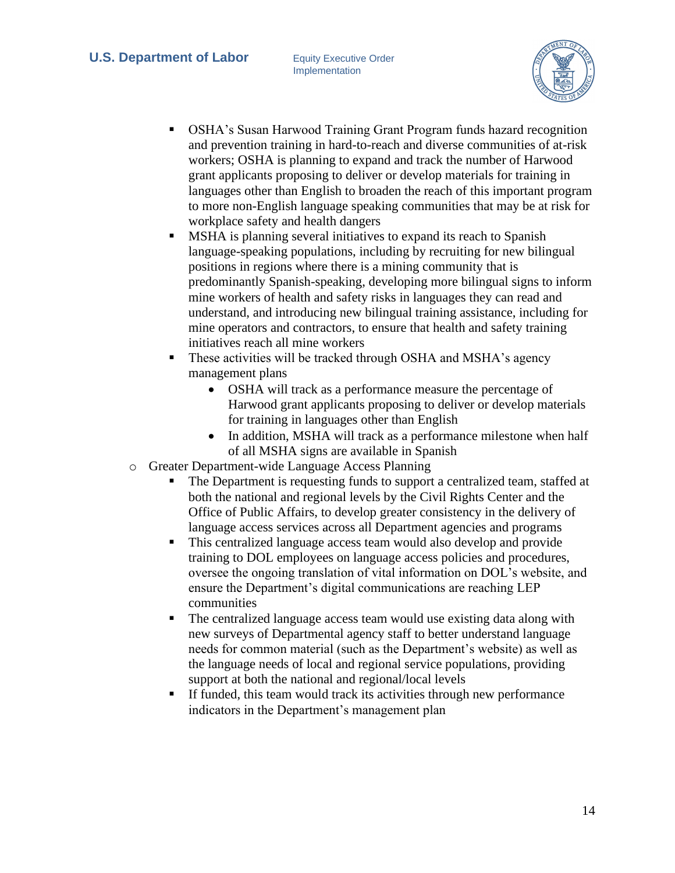

- **OSHA's Susan Harwood Training Grant Program funds hazard recognition** and prevention training in hard-to-reach and diverse communities of at-risk workers; OSHA is planning to expand and track the number of Harwood grant applicants proposing to deliver or develop materials for training in languages other than English to broaden the reach of this important program to more non-English language speaking communities that may be at risk for workplace safety and health dangers
- MSHA is planning several initiatives to expand its reach to Spanish language-speaking populations, including by recruiting for new bilingual positions in regions where there is a mining community that is predominantly Spanish-speaking, developing more bilingual signs to inform mine workers of health and safety risks in languages they can read and understand, and introducing new bilingual training assistance, including for mine operators and contractors, to ensure that health and safety training initiatives reach all mine workers
- **•** These activities will be tracked through OSHA and MSHA's agency management plans
	- OSHA will track as a performance measure the percentage of Harwood grant applicants proposing to deliver or develop materials for training in languages other than English
	- In addition, MSHA will track as a performance milestone when half of all MSHA signs are available in Spanish
- o Greater Department-wide Language Access Planning
	- The Department is requesting funds to support a centralized team, staffed at both the national and regional levels by the Civil Rights Center and the Office of Public Affairs, to develop greater consistency in the delivery of language access services across all Department agencies and programs
	- This centralized language access team would also develop and provide training to DOL employees on language access policies and procedures, oversee the ongoing translation of vital information on DOL's website, and ensure the Department's digital communications are reaching LEP communities
	- The centralized language access team would use existing data along with new surveys of Departmental agency staff to better understand language needs for common material (such as the Department's website) as well as the language needs of local and regional service populations, providing support at both the national and regional/local levels
	- **If funded, this team would track its activities through new performance** indicators in the Department's management plan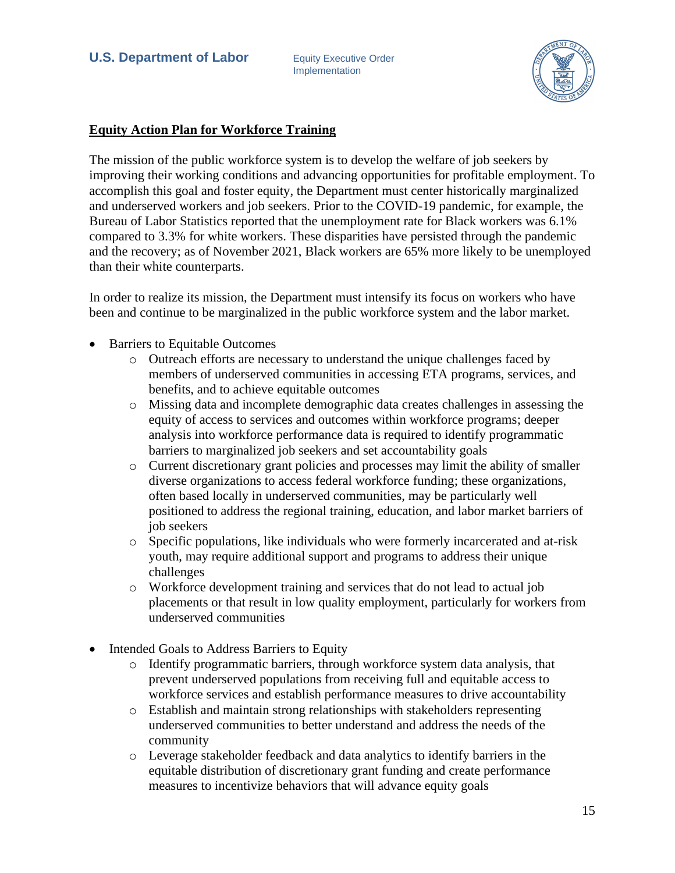

## **Equity Action Plan for Workforce Training**

The mission of the public workforce system is to develop the welfare of job seekers by improving their working conditions and advancing opportunities for profitable employment. To accomplish this goal and foster equity, the Department must center historically marginalized and underserved workers and job seekers. Prior to the COVID-19 pandemic, for example, the Bureau of Labor Statistics reported that the unemployment rate for Black workers was 6.1% compared to 3.3% for white workers. These disparities have persisted through the pandemic and the recovery; as of November 2021, Black workers are 65% more likely to be unemployed than their white counterparts.

In order to realize its mission, the Department must intensify its focus on workers who have been and continue to be marginalized in the public workforce system and the labor market.

- Barriers to Equitable Outcomes
	- o Outreach efforts are necessary to understand the unique challenges faced by members of underserved communities in accessing ETA programs, services, and benefits, and to achieve equitable outcomes
	- o Missing data and incomplete demographic data creates challenges in assessing the equity of access to services and outcomes within workforce programs; deeper analysis into workforce performance data is required to identify programmatic barriers to marginalized job seekers and set accountability goals
	- o Current discretionary grant policies and processes may limit the ability of smaller diverse organizations to access federal workforce funding; these organizations, often based locally in underserved communities, may be particularly well positioned to address the regional training, education, and labor market barriers of job seekers
	- o Specific populations, like individuals who were formerly incarcerated and at-risk youth, may require additional support and programs to address their unique challenges
	- o Workforce development training and services that do not lead to actual job placements or that result in low quality employment, particularly for workers from underserved communities
- Intended Goals to Address Barriers to Equity
	- o Identify programmatic barriers, through workforce system data analysis, that prevent underserved populations from receiving full and equitable access to workforce services and establish performance measures to drive accountability
	- o Establish and maintain strong relationships with stakeholders representing underserved communities to better understand and address the needs of the community
	- o Leverage stakeholder feedback and data analytics to identify barriers in the equitable distribution of discretionary grant funding and create performance measures to incentivize behaviors that will advance equity goals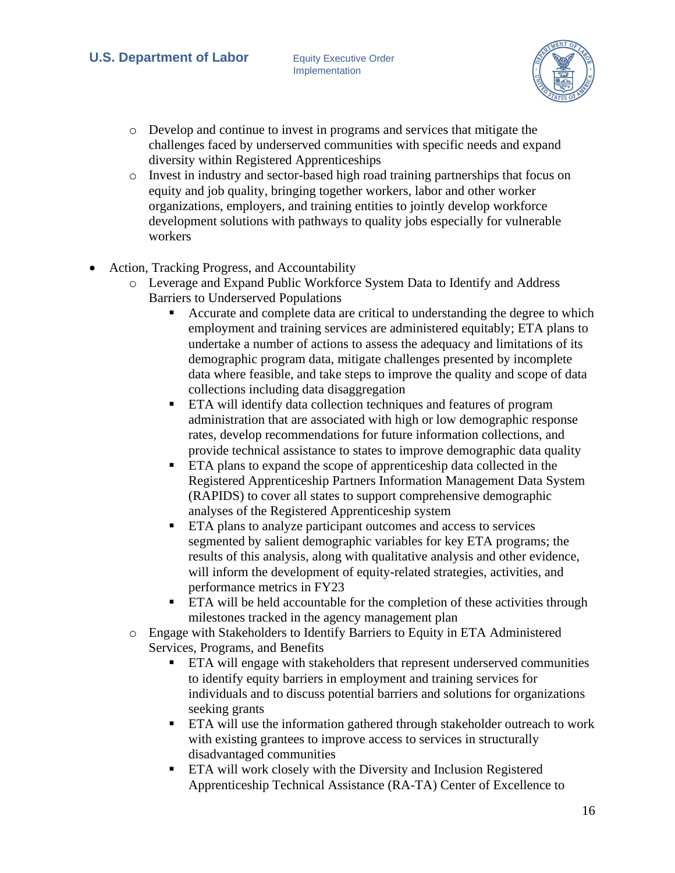

- o Develop and continue to invest in programs and services that mitigate the challenges faced by underserved communities with specific needs and expand diversity within Registered Apprenticeships
- o Invest in industry and sector-based high road training partnerships that focus on equity and job quality, bringing together workers, labor and other worker organizations, employers, and training entities to jointly develop workforce development solutions with pathways to quality jobs especially for vulnerable workers
- Action, Tracking Progress, and Accountability
	- o Leverage and Expand Public Workforce System Data to Identify and Address Barriers to Underserved Populations
		- Accurate and complete data are critical to understanding the degree to which employment and training services are administered equitably; ETA plans to undertake a number of actions to assess the adequacy and limitations of its demographic program data, mitigate challenges presented by incomplete data where feasible, and take steps to improve the quality and scope of data collections including data disaggregation
		- **ETA** will identify data collection techniques and features of program administration that are associated with high or low demographic response rates, develop recommendations for future information collections, and provide technical assistance to states to improve demographic data quality
		- ETA plans to expand the scope of apprenticeship data collected in the Registered Apprenticeship Partners Information Management Data System (RAPIDS) to cover all states to support comprehensive demographic analyses of the Registered Apprenticeship system
		- ETA plans to analyze participant outcomes and access to services segmented by salient demographic variables for key ETA programs; the results of this analysis, along with qualitative analysis and other evidence, will inform the development of equity-related strategies, activities, and performance metrics in FY23
		- ETA will be held accountable for the completion of these activities through milestones tracked in the agency management plan
	- o Engage with Stakeholders to Identify Barriers to Equity in ETA Administered Services, Programs, and Benefits
		- ETA will engage with stakeholders that represent underserved communities to identify equity barriers in employment and training services for individuals and to discuss potential barriers and solutions for organizations seeking grants
		- **ETA** will use the information gathered through stakeholder outreach to work with existing grantees to improve access to services in structurally disadvantaged communities
		- ETA will work closely with the Diversity and Inclusion Registered Apprenticeship Technical Assistance (RA-TA) Center of Excellence to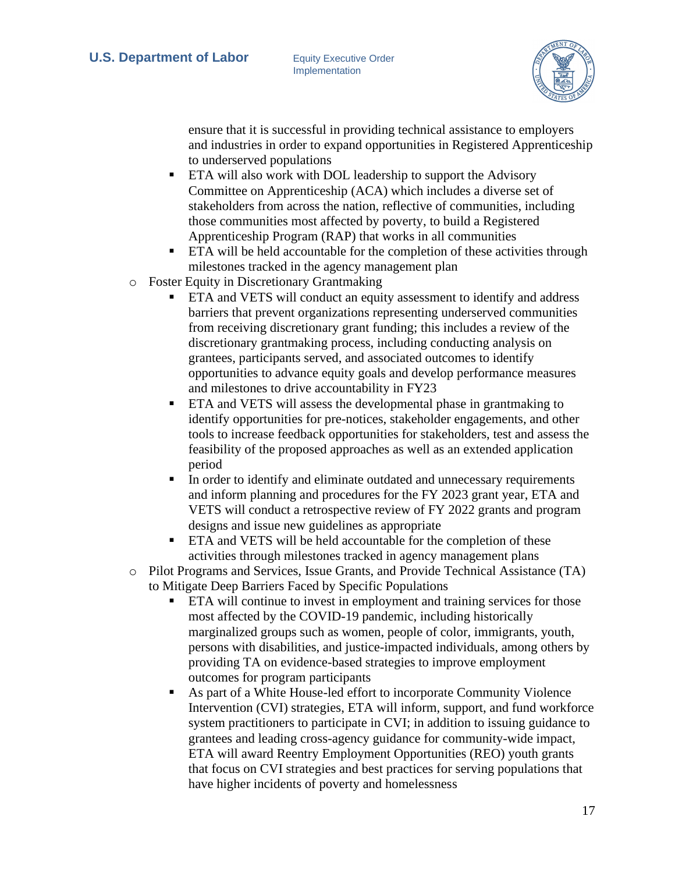

ensure that it is successful in providing technical assistance to employers and industries in order to expand opportunities in Registered Apprenticeship to underserved populations

- ETA will also work with DOL leadership to support the Advisory Committee on Apprenticeship (ACA) which includes a diverse set of stakeholders from across the nation, reflective of communities, including those communities most affected by poverty, to build a Registered Apprenticeship Program (RAP) that works in all communities
- ETA will be held accountable for the completion of these activities through milestones tracked in the agency management plan
- o Foster Equity in Discretionary Grantmaking
	- ETA and VETS will conduct an equity assessment to identify and address barriers that prevent organizations representing underserved communities from receiving discretionary grant funding; this includes a review of the discretionary grantmaking process, including conducting analysis on grantees, participants served, and associated outcomes to identify opportunities to advance equity goals and develop performance measures and milestones to drive accountability in FY23
	- ETA and VETS will assess the developmental phase in grantmaking to identify opportunities for pre-notices, stakeholder engagements, and other tools to increase feedback opportunities for stakeholders, test and assess the feasibility of the proposed approaches as well as an extended application period
	- In order to identify and eliminate outdated and unnecessary requirements and inform planning and procedures for the FY 2023 grant year, ETA and VETS will conduct a retrospective review of FY 2022 grants and program designs and issue new guidelines as appropriate
	- ETA and VETS will be held accountable for the completion of these activities through milestones tracked in agency management plans
- o Pilot Programs and Services, Issue Grants, and Provide Technical Assistance (TA) to Mitigate Deep Barriers Faced by Specific Populations
	- **ETA** will continue to invest in employment and training services for those most affected by the COVID-19 pandemic, including historically marginalized groups such as women, people of color, immigrants, youth, persons with disabilities, and justice-impacted individuals, among others by providing TA on evidence-based strategies to improve employment outcomes for program participants
	- As part of a White House-led effort to incorporate Community Violence Intervention (CVI) strategies, ETA will inform, support, and fund workforce system practitioners to participate in CVI; in addition to issuing guidance to grantees and leading cross-agency guidance for community-wide impact, ETA will award Reentry Employment Opportunities (REO) youth grants that focus on CVI strategies and best practices for serving populations that have higher incidents of poverty and homelessness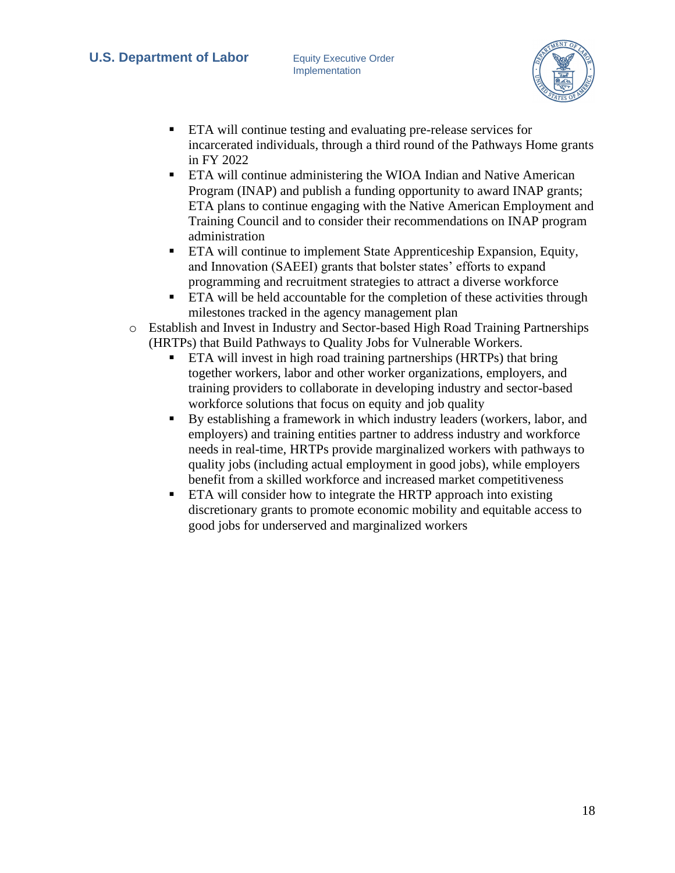

- ETA will continue testing and evaluating pre-release services for incarcerated individuals, through a third round of the Pathways Home grants in FY 2022
- ETA will continue administering the WIOA Indian and Native American Program (INAP) and publish a funding opportunity to award INAP grants; ETA plans to continue engaging with the Native American Employment and Training Council and to consider their recommendations on INAP program administration
- ETA will continue to implement State Apprenticeship Expansion, Equity, and Innovation (SAEEI) grants that bolster states' efforts to expand programming and recruitment strategies to attract a diverse workforce
- ETA will be held accountable for the completion of these activities through milestones tracked in the agency management plan
- o Establish and Invest in Industry and Sector-based High Road Training Partnerships (HRTPs) that Build Pathways to Quality Jobs for Vulnerable Workers.
	- **ETA** will invest in high road training partnerships (HRTPs) that bring together workers, labor and other worker organizations, employers, and training providers to collaborate in developing industry and sector-based workforce solutions that focus on equity and job quality
	- By establishing a framework in which industry leaders (workers, labor, and employers) and training entities partner to address industry and workforce needs in real-time, HRTPs provide marginalized workers with pathways to quality jobs (including actual employment in good jobs), while employers benefit from a skilled workforce and increased market competitiveness
	- ETA will consider how to integrate the HRTP approach into existing discretionary grants to promote economic mobility and equitable access to good jobs for underserved and marginalized workers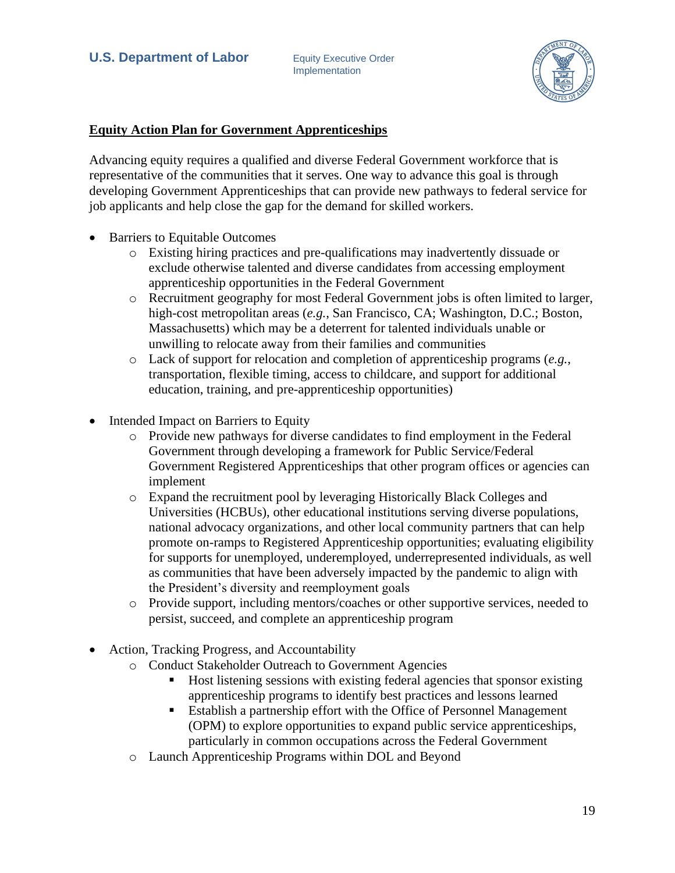

#### **Equity Action Plan for Government Apprenticeships**

Advancing equity requires a qualified and diverse Federal Government workforce that is representative of the communities that it serves. One way to advance this goal is through developing Government Apprenticeships that can provide new pathways to federal service for job applicants and help close the gap for the demand for skilled workers.

- Barriers to Equitable Outcomes
	- o Existing hiring practices and pre-qualifications may inadvertently dissuade or exclude otherwise talented and diverse candidates from accessing employment apprenticeship opportunities in the Federal Government
	- o Recruitment geography for most Federal Government jobs is often limited to larger, high-cost metropolitan areas (*e.g.*, San Francisco, CA; Washington, D.C.; Boston, Massachusetts) which may be a deterrent for talented individuals unable or unwilling to relocate away from their families and communities
	- o Lack of support for relocation and completion of apprenticeship programs (*e.g.*, transportation, flexible timing, access to childcare, and support for additional education, training, and pre-apprenticeship opportunities)
- Intended Impact on Barriers to Equity
	- o Provide new pathways for diverse candidates to find employment in the Federal Government through developing a framework for Public Service/Federal Government Registered Apprenticeships that other program offices or agencies can implement
	- o Expand the recruitment pool by leveraging Historically Black Colleges and Universities (HCBUs), other educational institutions serving diverse populations, national advocacy organizations, and other local community partners that can help promote on-ramps to Registered Apprenticeship opportunities; evaluating eligibility for supports for unemployed, underemployed, underrepresented individuals, as well as communities that have been adversely impacted by the pandemic to align with the President's diversity and reemployment goals
	- o Provide support, including mentors/coaches or other supportive services, needed to persist, succeed, and complete an apprenticeship program
- Action, Tracking Progress, and Accountability
	- o Conduct Stakeholder Outreach to Government Agencies
		- Host listening sessions with existing federal agencies that sponsor existing apprenticeship programs to identify best practices and lessons learned
		- Establish a partnership effort with the Office of Personnel Management (OPM) to explore opportunities to expand public service apprenticeships, particularly in common occupations across the Federal Government
	- o Launch Apprenticeship Programs within DOL and Beyond